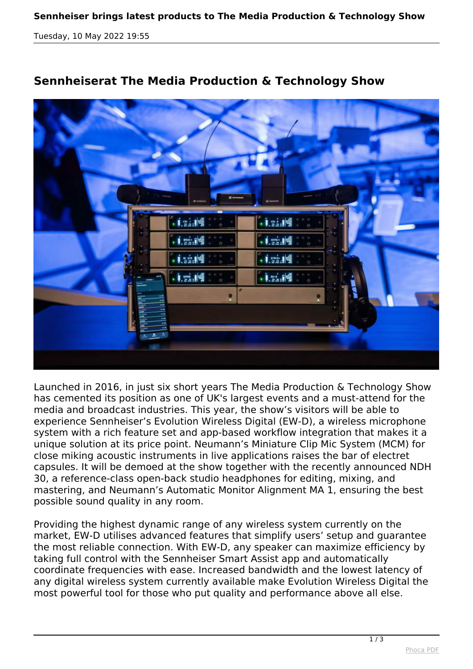*Tuesday, 10 May 2022 19:55*



## **Sennheiserat The Media Production & Technology Show**

*Launched in 2016, in just six short years The Media Production & Technology Show has cemented its position as one of UK's largest events and a must-attend for the media and broadcast industries. This year, the show's visitors will be able to experience Sennheiser's Evolution Wireless Digital (EW-D), a wireless microphone system with a rich feature set and app-based workflow integration that makes it a unique solution at its price point. Neumann's Miniature Clip Mic System (MCM) for close miking acoustic instruments in live applications raises the bar of electret capsules. It will be demoed at the show together with the recently announced NDH 30, a reference-class open-back studio headphones for editing, mixing, and mastering, and Neumann's Automatic Monitor Alignment MA 1, ensuring the best possible sound quality in any room.*

*Providing the highest dynamic range of any wireless system currently on the market, EW-D utilises advanced features that simplify users' setup and guarantee the most reliable connection. With EW-D, any speaker can maximize efficiency by taking full control with the Sennheiser Smart Assist app and automatically coordinate frequencies with ease. Increased bandwidth and the lowest latency of any digital wireless system currently available make Evolution Wireless Digital the most powerful tool for those who put quality and performance above all else.*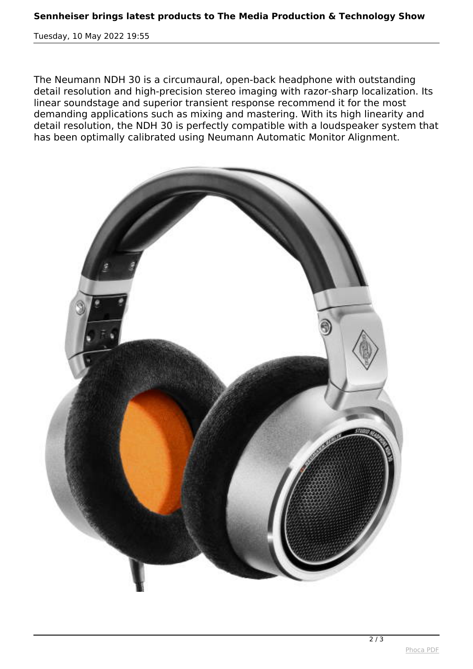*Tuesday, 10 May 2022 19:55*

*The Neumann NDH 30 is a circumaural, open-back headphone with outstanding detail resolution and high-precision stereo imaging with razor-sharp localization. Its linear soundstage and superior transient response recommend it for the most demanding applications such as mixing and mastering. With its high linearity and detail resolution, the NDH 30 is perfectly compatible with a loudspeaker system that has been optimally calibrated using Neumann Automatic Monitor Alignment.*